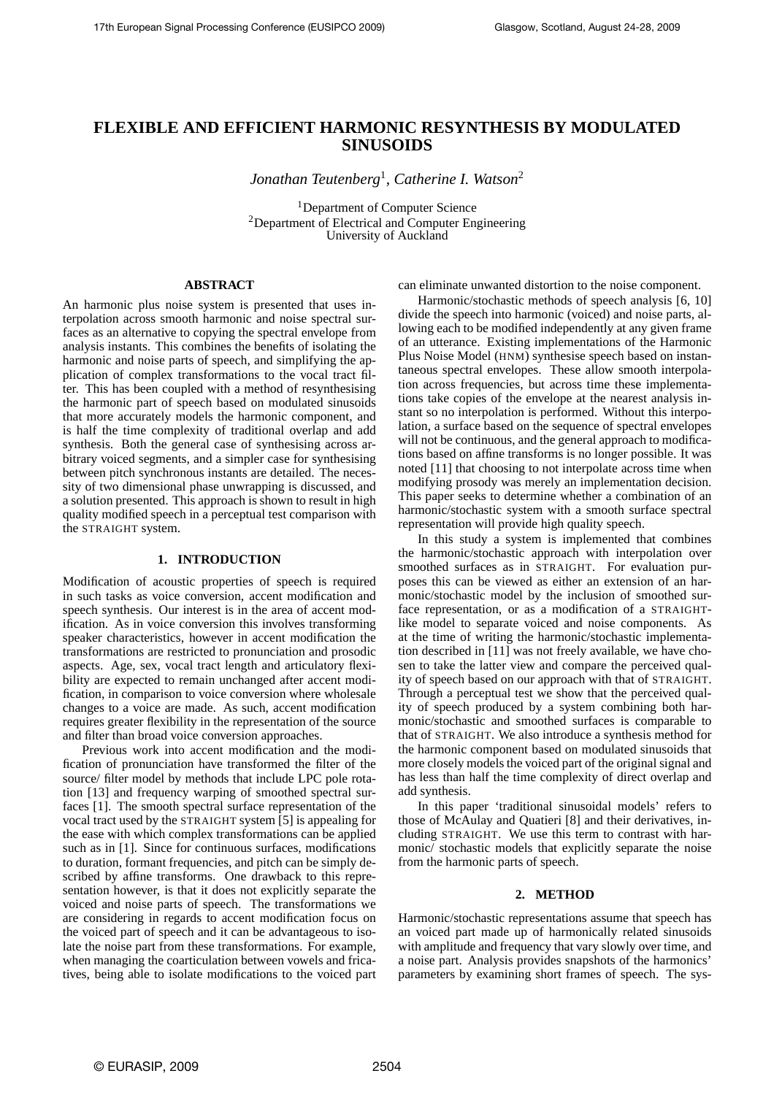# **FLEXIBLE AND EFFICIENT HARMONIC RESYNTHESIS BY MODULATED SINUSOIDS**

*Jonathan Teutenberg*<sup>1</sup> *, Catherine I. Watson*<sup>2</sup>

<sup>1</sup>Department of Computer Science <sup>2</sup>Department of Electrical and Computer Engineering University of Auckland

# **ABSTRACT**

An harmonic plus noise system is presented that uses interpolation across smooth harmonic and noise spectral surfaces as an alternative to copying the spectral envelope from analysis instants. This combines the benefits of isolating the harmonic and noise parts of speech, and simplifying the application of complex transformations to the vocal tract filter. This has been coupled with a method of resynthesising the harmonic part of speech based on modulated sinusoids that more accurately models the harmonic component, and is half the time complexity of traditional overlap and add synthesis. Both the general case of synthesising across arbitrary voiced segments, and a simpler case for synthesising between pitch synchronous instants are detailed. The necessity of two dimensional phase unwrapping is discussed, and a solution presented. This approach is shown to result in high quality modified speech in a perceptual test comparison with the STRAIGHT system.

#### **1. INTRODUCTION**

Modification of acoustic properties of speech is required in such tasks as voice conversion, accent modification and speech synthesis. Our interest is in the area of accent modification. As in voice conversion this involves transforming speaker characteristics, however in accent modification the transformations are restricted to pronunciation and prosodic aspects. Age, sex, vocal tract length and articulatory flexibility are expected to remain unchanged after accent modification, in comparison to voice conversion where wholesale changes to a voice are made. As such, accent modification requires greater flexibility in the representation of the source and filter than broad voice conversion approaches.

Previous work into accent modification and the modification of pronunciation have transformed the filter of the source/ filter model by methods that include LPC pole rotation [13] and frequency warping of smoothed spectral surfaces [1]. The smooth spectral surface representation of the vocal tract used by the STRAIGHT system [5] is appealing for the ease with which complex transformations can be applied such as in [1]. Since for continuous surfaces, modifications to duration, formant frequencies, and pitch can be simply described by affine transforms. One drawback to this representation however, is that it does not explicitly separate the voiced and noise parts of speech. The transformations we are considering in regards to accent modification focus on the voiced part of speech and it can be advantageous to isolate the noise part from these transformations. For example, when managing the coarticulation between vowels and fricatives, being able to isolate modifications to the voiced part can eliminate unwanted distortion to the noise component.

Harmonic/stochastic methods of speech analysis [6, 10] divide the speech into harmonic (voiced) and noise parts, allowing each to be modified independently at any given frame of an utterance. Existing implementations of the Harmonic Plus Noise Model (HNM) synthesise speech based on instantaneous spectral envelopes. These allow smooth interpolation across frequencies, but across time these implementations take copies of the envelope at the nearest analysis instant so no interpolation is performed. Without this interpolation, a surface based on the sequence of spectral envelopes will not be continuous, and the general approach to modifications based on affine transforms is no longer possible. It was noted [11] that choosing to not interpolate across time when modifying prosody was merely an implementation decision. This paper seeks to determine whether a combination of an harmonic/stochastic system with a smooth surface spectral representation will provide high quality speech.

In this study a system is implemented that combines the harmonic/stochastic approach with interpolation over smoothed surfaces as in STRAIGHT. For evaluation purposes this can be viewed as either an extension of an harmonic/stochastic model by the inclusion of smoothed surface representation, or as a modification of a STRAIGHTlike model to separate voiced and noise components. As at the time of writing the harmonic/stochastic implementation described in [11] was not freely available, we have chosen to take the latter view and compare the perceived quality of speech based on our approach with that of STRAIGHT. Through a perceptual test we show that the perceived quality of speech produced by a system combining both harmonic/stochastic and smoothed surfaces is comparable to that of STRAIGHT. We also introduce a synthesis method for the harmonic component based on modulated sinusoids that more closely models the voiced part of the original signal and has less than half the time complexity of direct overlap and add synthesis.

In this paper 'traditional sinusoidal models' refers to those of McAulay and Quatieri [8] and their derivatives, including STRAIGHT. We use this term to contrast with harmonic/ stochastic models that explicitly separate the noise from the harmonic parts of speech.

#### **2. METHOD**

Harmonic/stochastic representations assume that speech has an voiced part made up of harmonically related sinusoids with amplitude and frequency that vary slowly over time, and a noise part. Analysis provides snapshots of the harmonics' parameters by examining short frames of speech. The sys-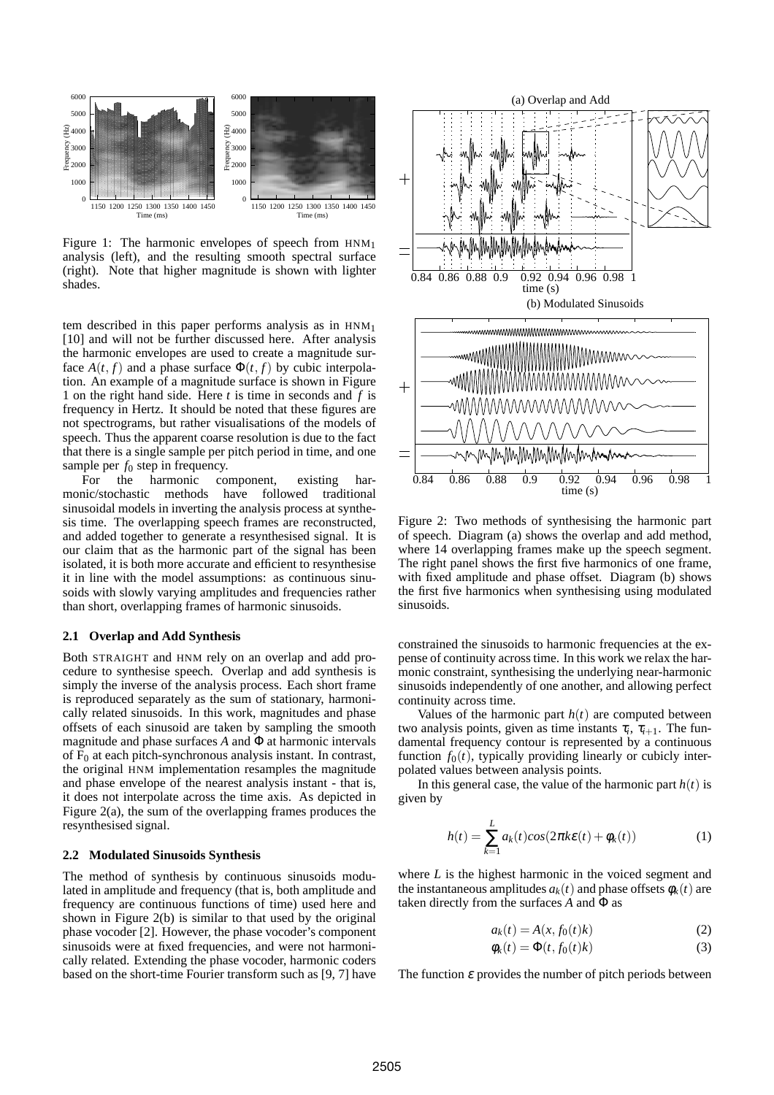

Figure 1: The harmonic envelopes of speech from  $HM_{1}$ analysis (left), and the resulting smooth spectral surface (right). Note that higher magnitude is shown with lighter shades.

tem described in this paper performs analysis as in HNM<sup>1</sup> [10] and will not be further discussed here. After analysis the harmonic envelopes are used to create a magnitude surface  $A(t, f)$  and a phase surface  $\Phi(t, f)$  by cubic interpolation. An example of a magnitude surface is shown in Figure 1 on the right hand side. Here *t* is time in seconds and *f* is frequency in Hertz. It should be noted that these figures are not spectrograms, but rather visualisations of the models of speech. Thus the apparent coarse resolution is due to the fact that there is a single sample per pitch period in time, and one sample per  $f_0$  step in frequency.

For the harmonic component, existing harmonic/stochastic methods have followed traditional sinusoidal models in inverting the analysis process at synthesis time. The overlapping speech frames are reconstructed, and added together to generate a resynthesised signal. It is our claim that as the harmonic part of the signal has been isolated, it is both more accurate and efficient to resynthesise it in line with the model assumptions: as continuous sinusoids with slowly varying amplitudes and frequencies rather than short, overlapping frames of harmonic sinusoids.

#### **2.1 Overlap and Add Synthesis**

Both STRAIGHT and HNM rely on an overlap and add procedure to synthesise speech. Overlap and add synthesis is simply the inverse of the analysis process. Each short frame is reproduced separately as the sum of stationary, harmonically related sinusoids. In this work, magnitudes and phase offsets of each sinusoid are taken by sampling the smooth magnitude and phase surfaces *A* and Φ at harmonic intervals of  $F_0$  at each pitch-synchronous analysis instant. In contrast, the original HNM implementation resamples the magnitude and phase envelope of the nearest analysis instant - that is, it does not interpolate across the time axis. As depicted in Figure 2(a), the sum of the overlapping frames produces the resynthesised signal.

# **2.2 Modulated Sinusoids Synthesis**

The method of synthesis by continuous sinusoids modulated in amplitude and frequency (that is, both amplitude and frequency are continuous functions of time) used here and shown in Figure 2(b) is similar to that used by the original phase vocoder [2]. However, the phase vocoder's component sinusoids were at fixed frequencies, and were not harmonically related. Extending the phase vocoder, harmonic coders based on the short-time Fourier transform such as [9, 7] have



Figure 2: Two methods of synthesising the harmonic part of speech. Diagram (a) shows the overlap and add method, where 14 overlapping frames make up the speech segment. The right panel shows the first five harmonics of one frame, with fixed amplitude and phase offset. Diagram (b) shows the first five harmonics when synthesising using modulated sinusoids.

constrained the sinusoids to harmonic frequencies at the expense of continuity across time. In this work we relax the harmonic constraint, synthesising the underlying near-harmonic sinusoids independently of one another, and allowing perfect continuity across time.

Values of the harmonic part  $h(t)$  are computed between two analysis points, given as time instants  $\tau_i$ ,  $\tau_{i+1}$ . The fundamental frequency contour is represented by a continuous function  $f_0(t)$ , typically providing linearly or cubicly interpolated values between analysis points.

In this general case, the value of the harmonic part  $h(t)$  is given by

$$
h(t) = \sum_{k=1}^{L} a_k(t) \cos(2\pi k \varepsilon(t) + \phi_k(t))
$$
 (1)

where *L* is the highest harmonic in the voiced segment and the instantaneous amplitudes  $a_k(t)$  and phase offsets  $\phi_k(t)$  are taken directly from the surfaces *A* and Φ as

$$
a_k(t) = A(x, f_0(t)k)
$$
\n<sup>(2)</sup>

$$
\phi_k(t) = \Phi(t, f_0(t)k)
$$
\n(3)

The function  $\varepsilon$  provides the number of pitch periods between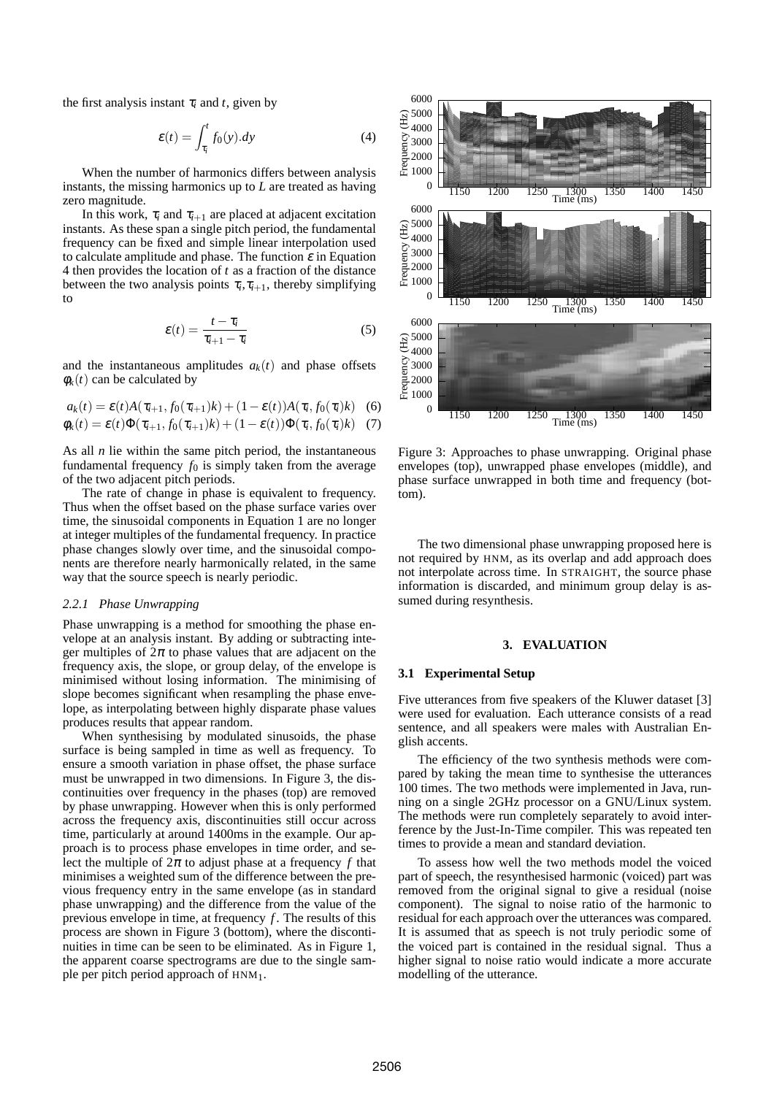the first analysis instant  $\tau_i$  and *t*, given by

$$
\mathcal{E}(t) = \int_{\tau_i}^t f_0(y).dy
$$
 (4)

When the number of harmonics differs between analysis instants, the missing harmonics up to *L* are treated as having zero magnitude.

In this work,  $\tau_i$  and  $\tau_{i+1}$  are placed at adjacent excitation instants. As these span a single pitch period, the fundamental frequency can be fixed and simple linear interpolation used to calculate amplitude and phase. The function  $\varepsilon$  in Equation 4 then provides the location of *t* as a fraction of the distance between the two analysis points  $\tau_i$ ,  $\tau_{i+1}$ , thereby simplifying to

$$
\varepsilon(t) = \frac{t - \tau_i}{\tau_{i+1} - \tau_i} \tag{5}
$$

and the instantaneous amplitudes  $a_k(t)$  and phase offsets  $\phi_k(t)$  can be calculated by

$$
a_k(t) = \varepsilon(t)A(\tau_{i+1}, f_0(\tau_{i+1})k) + (1 - \varepsilon(t))A(\tau_i, f_0(\tau_i)k)
$$
 (6)  

$$
\phi_k(t) = \varepsilon(t)\Phi(\tau_{i+1}, f_0(\tau_{i+1})k) + (1 - \varepsilon(t))\Phi(\tau_i, f_0(\tau_i)k)
$$
 (7)

As all *n* lie within the same pitch period, the instantaneous fundamental frequency  $f_0$  is simply taken from the average of the two adjacent pitch periods.

The rate of change in phase is equivalent to frequency. Thus when the offset based on the phase surface varies over time, the sinusoidal components in Equation 1 are no longer at integer multiples of the fundamental frequency. In practice phase changes slowly over time, and the sinusoidal components are therefore nearly harmonically related, in the same way that the source speech is nearly periodic.

#### *2.2.1 Phase Unwrapping*

Phase unwrapping is a method for smoothing the phase envelope at an analysis instant. By adding or subtracting integer multiples of  $2\pi$  to phase values that are adjacent on the frequency axis, the slope, or group delay, of the envelope is minimised without losing information. The minimising of slope becomes significant when resampling the phase envelope, as interpolating between highly disparate phase values produces results that appear random.

When synthesising by modulated sinusoids, the phase surface is being sampled in time as well as frequency. To ensure a smooth variation in phase offset, the phase surface must be unwrapped in two dimensions. In Figure 3, the discontinuities over frequency in the phases (top) are removed by phase unwrapping. However when this is only performed across the frequency axis, discontinuities still occur across time, particularly at around 1400ms in the example. Our approach is to process phase envelopes in time order, and select the multiple of  $2\pi$  to adjust phase at a frequency f that minimises a weighted sum of the difference between the previous frequency entry in the same envelope (as in standard phase unwrapping) and the difference from the value of the previous envelope in time, at frequency *f* . The results of this process are shown in Figure 3 (bottom), where the discontinuities in time can be seen to be eliminated. As in Figure 1, the apparent coarse spectrograms are due to the single sample per pitch period approach of HNM1.



Figure 3: Approaches to phase unwrapping. Original phase envelopes (top), unwrapped phase envelopes (middle), and phase surface unwrapped in both time and frequency (bottom).

The two dimensional phase unwrapping proposed here is not required by HNM, as its overlap and add approach does not interpolate across time. In STRAIGHT, the source phase information is discarded, and minimum group delay is assumed during resynthesis.

### **3. EVALUATION**

#### **3.1 Experimental Setup**

Five utterances from five speakers of the Kluwer dataset [3] were used for evaluation. Each utterance consists of a read sentence, and all speakers were males with Australian English accents.

The efficiency of the two synthesis methods were compared by taking the mean time to synthesise the utterances 100 times. The two methods were implemented in Java, running on a single 2GHz processor on a GNU/Linux system. The methods were run completely separately to avoid interference by the Just-In-Time compiler. This was repeated ten times to provide a mean and standard deviation.

To assess how well the two methods model the voiced part of speech, the resynthesised harmonic (voiced) part was removed from the original signal to give a residual (noise component). The signal to noise ratio of the harmonic to residual for each approach over the utterances was compared. It is assumed that as speech is not truly periodic some of the voiced part is contained in the residual signal. Thus a higher signal to noise ratio would indicate a more accurate modelling of the utterance.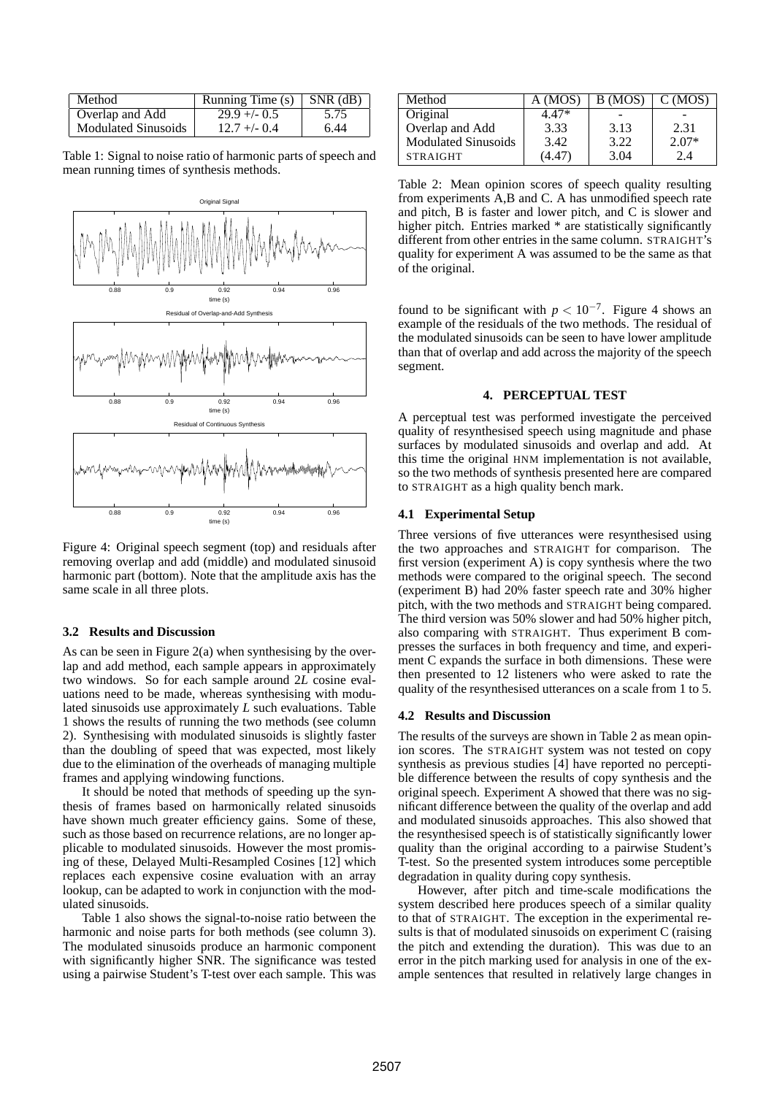| Method                     | Running Time $(s)$ SNR $(d)$ |      |
|----------------------------|------------------------------|------|
| Overlap and Add            | $29.9 + - 0.5$               | 5.75 |
| <b>Modulated Sinusoids</b> | $12.7 + - 0.4$               | 6.44 |

Table 1: Signal to noise ratio of harmonic parts of speech and mean running times of synthesis methods.



Figure 4: Original speech segment (top) and residuals after removing overlap and add (middle) and modulated sinusoid harmonic part (bottom). Note that the amplitude axis has the same scale in all three plots.

# **3.2 Results and Discussion**

As can be seen in Figure 2(a) when synthesising by the overlap and add method, each sample appears in approximately two windows. So for each sample around 2*L* cosine evaluations need to be made, whereas synthesising with modulated sinusoids use approximately *L* such evaluations. Table 1 shows the results of running the two methods (see column 2). Synthesising with modulated sinusoids is slightly faster than the doubling of speed that was expected, most likely due to the elimination of the overheads of managing multiple frames and applying windowing functions.

It should be noted that methods of speeding up the synthesis of frames based on harmonically related sinusoids have shown much greater efficiency gains. Some of these, such as those based on recurrence relations, are no longer applicable to modulated sinusoids. However the most promising of these, Delayed Multi-Resampled Cosines [12] which replaces each expensive cosine evaluation with an array lookup, can be adapted to work in conjunction with the modulated sinusoids.

Table 1 also shows the signal-to-noise ratio between the harmonic and noise parts for both methods (see column 3). The modulated sinusoids produce an harmonic component with significantly higher SNR. The significance was tested using a pairwise Student's T-test over each sample. This was

| Method                     | A (MOS) | B (MOS) | C(MOS)  |
|----------------------------|---------|---------|---------|
| Original                   | 4.47*   |         |         |
| Overlap and Add            | 3.33    | 3.13    | 2.31    |
| <b>Modulated Sinusoids</b> | 3.42    | 3.22    | $2.07*$ |
| <b>STRAIGHT</b>            | (4.47)  | 3.04    | 2.4     |

Table 2: Mean opinion scores of speech quality resulting from experiments A,B and C. A has unmodified speech rate and pitch, B is faster and lower pitch, and C is slower and higher pitch. Entries marked \* are statistically significantly different from other entries in the same column. STRAIGHT's quality for experiment A was assumed to be the same as that of the original.

found to be significant with  $p < 10^{-7}$ . Figure 4 shows an example of the residuals of the two methods. The residual of the modulated sinusoids can be seen to have lower amplitude than that of overlap and add across the majority of the speech segment.

# **4. PERCEPTUAL TEST**

A perceptual test was performed investigate the perceived quality of resynthesised speech using magnitude and phase surfaces by modulated sinusoids and overlap and add. At this time the original HNM implementation is not available, so the two methods of synthesis presented here are compared to STRAIGHT as a high quality bench mark.

# **4.1 Experimental Setup**

Three versions of five utterances were resynthesised using the two approaches and STRAIGHT for comparison. The first version (experiment A) is copy synthesis where the two methods were compared to the original speech. The second (experiment B) had 20% faster speech rate and 30% higher pitch, with the two methods and STRAIGHT being compared. The third version was 50% slower and had 50% higher pitch, also comparing with STRAIGHT. Thus experiment B compresses the surfaces in both frequency and time, and experiment C expands the surface in both dimensions. These were then presented to 12 listeners who were asked to rate the quality of the resynthesised utterances on a scale from 1 to 5.

### **4.2 Results and Discussion**

The results of the surveys are shown in Table 2 as mean opinion scores. The STRAIGHT system was not tested on copy synthesis as previous studies [4] have reported no perceptible difference between the results of copy synthesis and the original speech. Experiment A showed that there was no significant difference between the quality of the overlap and add and modulated sinusoids approaches. This also showed that the resynthesised speech is of statistically significantly lower quality than the original according to a pairwise Student's T-test. So the presented system introduces some perceptible degradation in quality during copy synthesis.

However, after pitch and time-scale modifications the system described here produces speech of a similar quality to that of STRAIGHT. The exception in the experimental results is that of modulated sinusoids on experiment C (raising the pitch and extending the duration). This was due to an error in the pitch marking used for analysis in one of the example sentences that resulted in relatively large changes in